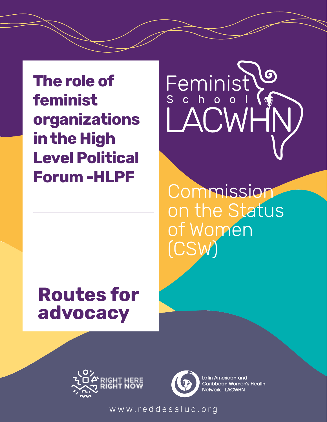**The role of feminist organizations in the High Level Political Forum -HLPF**



Commission on the Status of Women (CSW)

## **Routes for advocacy**





**Latin American and** Caribbean Women's Health **Network - LACWHN** 

www.reddesalud.org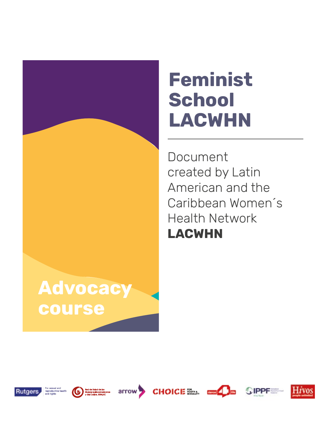

# **Feminist School LACWHN**

Document created by Latin American and the Caribbean Women´s Health Network **LACWHN**













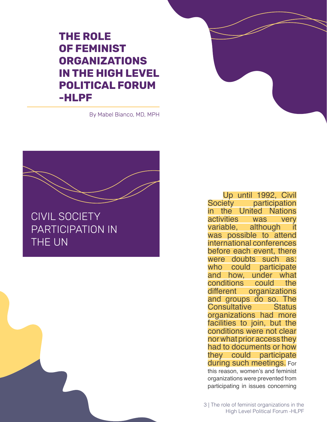#### **THE ROLE OF FEMINIST ORGANIZATIONS IN THE HIGH LEVEL POLITICAL FORUM -HLPF**

By Mabel Bianco, MD, MPH



Up until 1992, Civil<br>Society participation participation in the United Nations<br>activities was verv activities was very<br>variable, although it variable. was possible to attend international conferences before each event, there were doubts such as:<br>who could participate could participate and how, under what<br>conditions could the conditions<br>different organizations and groups do so. The Consultative organizations had more facilities to join, but the conditions were not clear nor what prior access they had to documents or how they could participate during such meetings. For this reason, women's and feminist organizations were prevented from participating in issues concerning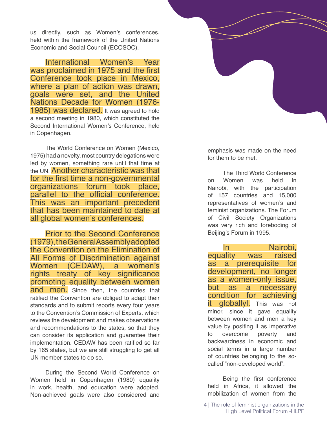us directly, such as Women's conferences, held within the framework of the United Nations Economic and Social Council (ECOSOC).

International Women's Year was proclaimed in 1975 and the first Conference took place in Mexico, where a plan of action was drawn, goals were set, and the United Nations Decade for Women (1976- 1985) was declared. It was agreed to hold a second meeting in 1980, which constituted the Second International Women's Conference, held in Copenhagen.

The World Conference on Women (Mexico, 1975) had a novelty, most country delegations were led by women, something rare until that time at the UN. Another characteristic was that for the first time a non-governmental organizations forum took place, parallel to the official conference. This was an important precedent that has been maintained to date at all global women's conferences.

Prior to the Second Conference (1979), the General Assembly adopted the Convention on the Elimination of All Forms of Discrimination against Women (CEDAW), a women's rights treaty of key significance promoting equality between women and men. Since then, the countries that ratified the Convention are obliged to adapt their standards and to submit reports every four years to the Convention's Commission of Experts, which reviews the development and makes observations and recommendations to the states, so that they can consider its application and guarantee their implementation. CEDAW has been ratified so far by 165 states, but we are still struggling to get all UN member states to do so.

During the Second World Conference on Women held in Copenhagen (1980) equality in work, health, and education were adopted. Non-achieved goals were also considered and

emphasis was made on the need for them to be met.

The Third World Conference on Women was held in Nairobi, with the participation of 157 countries and 15,000 representatives of women's and feminist organizations. The Forum of Civil Society Organizations was very rich and foreboding of Beijing's Forum in 1995.

In Nairobi,<br>ality was raised equality was as a prerequisite for development, no longer as a women-only issue, but as a necessary condition for achieving it globallyl. This was not minor, since it gave equality between women and men a key value by positing it as imperative to overcome poverty and backwardness in economic and social terms in a large number of countries belonging to the socalled "non-developed world".

Being the first conference held in Africa, it allowed the mobilization of women from the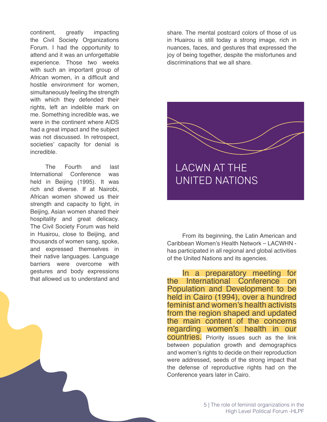continent, greatly impacting the Civil Society Organizations Forum. I had the opportunity to attend and it was an unforgettable experience. Those two weeks with such an important group of African women, in a difficult and hostile environment for women, simultaneously feeling the strength with which they defended their rights, left an indelible mark on me. Something incredible was, we were in the continent where AIDS had a great impact and the subject was not discussed. In retrospect, societies' capacity for denial is incredible.

The Fourth and last International Conference was held in Beijing (1995). It was rich and diverse. If at Nairobi, African women showed us their strength and capacity to fight, in Beijing, Asian women shared their hospitality and great delicacy. The Civil Society Forum was held in Huairou, close to Beijing, and thousands of women sang, spoke, and expressed themselves in their native languages. Language barriers were overcome with gestures and body expressions that allowed us to understand and share. The mental postcard colors of those of us in Huairou is still today a strong image, rich in nuances, faces, and gestures that expressed the joy of being together, despite the misfortunes and discriminations that we all share.



From its beginning, the Latin American and Caribbean Women's Health Network – LACWHN has participated in all regional and global activities of the United Nations and its agencies.

In a preparatory meeting for the International Conference on Population and Development to be held in Cairo (1994), over a hundred feminist and women's health activists from the region shaped and updated the main content of the concerns regarding women's health in our countries. Priority issues such as the link between population growth and demographics and women's rights to decide on their reproduction were addressed, seeds of the strong impact that the defense of reproductive rights had on the Conference years later in Cairo.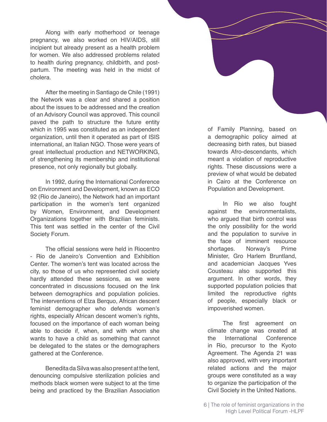Along with early motherhood or teenage pregnancy, we also worked on HIV/AIDS, still incipient but already present as a health problem for women. We also addressed problems related to health during pregnancy, childbirth, and postpartum. The meeting was held in the midst of cholera.

After the meeting in Santiago de Chile (1991) the Network was a clear and shared a position about the issues to be addressed and the creation of an Advisory Council was approved. This council paved the path to structure the future entity which in 1995 was constituted as an independent organization, until then it operated as part of ISIS international, an Italian NGO. Those were years of great intellectual production and NETWORKING, of strengthening its membership and institutional presence, not only regionally but globally.

In 1992, during the International Conference on Environment and Development, known as ECO 92 (Rio de Janeiro), the Network had an important participation in the women's tent organized by Women, Environment, and Development Organizations together with Brazilian feminists. This tent was settled in the center of the Civil Society Forum.

The official sessions were held in Riocentro - Rio de Janeiro's Convention and Exhibition Center. The women's tent was located across the city, so those of us who represented civil society hardly attended these sessions, as we were concentrated in discussions focused on the link between demographics and population policies. The interventions of Elza Berquo, African descent feminist demographer who defends women's rights, especially African descent women's rights, focused on the importance of each woman being able to decide if, when, and with whom she wants to have a child as something that cannot be delegated to the states or the demographers gathered at the Conference.

Benedita da Silva was also present at the tent, denouncing compulsive sterilization policies and methods black women were subject to at the time being and practiced by the Brazilian Association

of Family Planning, based on a demographic policy aimed at decreasing birth rates, but biased towards Afro-descendants, which meant a violation of reproductive rights. These discussions were a preview of what would be debated in Cairo at the Conference on Population and Development.

In Rio we also fought against the environmentalists, who argued that birth control was the only possibility for the world and the population to survive in the face of imminent resource shortages. Norway's Prime Minister, Gro Harlem Bruntland, and academician Jacques Yves Cousteau also supported this argument. In other words, they supported population policies that limited the reproductive rights of people, especially black or impoverished women.

The first agreement on climate change was created at the International Conference in Rio, precursor to the Kyoto Agreement. The Agenda 21 was also approved, with very important related actions and the major groups were constituted as a way to organize the participation of the Civil Society in the United Nations.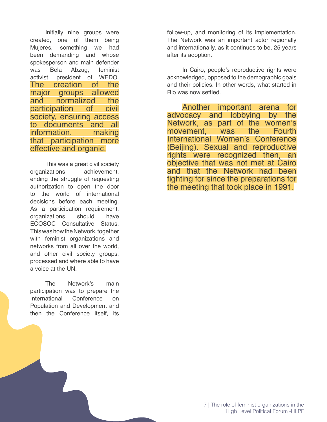Initially nine groups were created, one of them being Mujeres, something we had been demanding and whose spokesperson and main defender was Bela Abzug, feminist activist, president of WEDO. The creation of the major groups allowed and normalized the participation of civil society, ensuring access to documents and all information, making that participation more effective and organic.

This was a great civil society organizations achievement, ending the struggle of requesting authorization to open the door to the world of international decisions before each meeting. As a participation requirement, organizations should have ECOSOC Consultative Status. This was how the Network, together with feminist organizations and networks from all over the world, and other civil society groups, processed and where able to have a voice at the UN.

The Network's main participation was to prepare the International Conference on Population and Development and then the Conference itself, its follow-up, and monitoring of its implementation. The Network was an important actor regionally and internationally, as it continues to be, 25 years after its adoption.

In Cairo, people's reproductive rights were acknowledged, opposed to the demographic goals and their policies. In other words, what started in Rio was now settled.

Another important arena for advocacy and lobbying by the Network, as part of the women's movement, was the Fourth International Women's Conference (Beijing). Sexual and reproductive rights were recognized then, an objective that was not met at Cairo and that the Network had been fighting for since the preparations for the meeting that took place in 1991.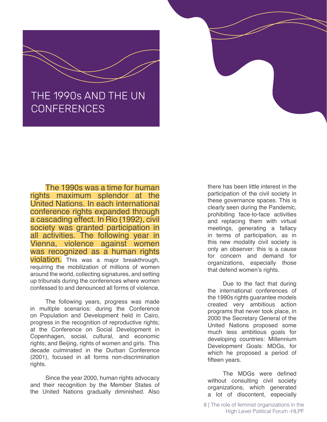

### THE 1990s AND THE UN **CONFERENCES**

The 1990s was a time for human rights maximum splendor at the United Nations. In each international conference rights expanded through a cascading effect. In Rio (1992), civil society was granted participation in all activities. The following year in Vienna, violence against women was recognized as a human rights violation. This was a major breakthrough, requiring the mobilization of millions of women around the world, collecting signatures, and setting up tribunals during the conferences where women confessed to and denounced all forms of violence.

The following years, progress was made in multiple scenarios: during the Conference on Population and Development held in Cairo, progress in the recognition of reproductive rights; at the Conference on Social Development in Copenhagen, social, cultural, and economic rights; and Beijing, rights of women and girls. This decade culminated in the Durban Conference (2001), focused in all forms non-discrimination rights.

Since the year 2000, human rights advocacy and their recognition by the Member States of the United Nations gradually diminished. Also

there has been little interest in the participation of the civil society in these governance spaces. This is clearly seen during the Pandemic, prohibiting face-to-face activities and replacing them with virtual meetings, generating a fallacy in terms of participation, as in this new modality civil society is only an observer: this is a cause for concern and demand for organizations, especially those that defend women's rights.

Due to the fact that during the international conferences of the 1990s rights guarantee models created very ambitious action programs that never took place, in 2000 the Secretary General of the United Nations proposed some much less ambitious goals for developing countries: Millennium Development Goals: MDGs, for which he proposed a period of fifteen years.

The MDGs were defined without consulting civil society organizations, which generated a lot of discontent, especially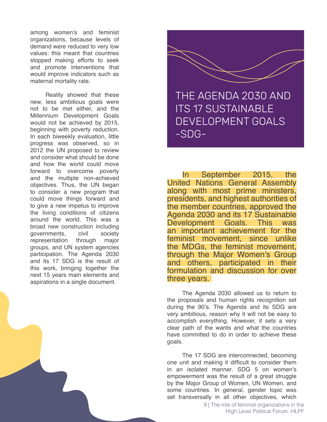among women's and feminist organizations, because levels of demand were reduced to very low values: this meant that countries stopped making efforts to seek and promote interventions that would improve indicators such as maternal mortality rate.

Reality showed that these new, less ambitious goals were not to be met either, and the Millennium Development Goals would not be achieved by 2015, beginning with poverty reduction. In each biweekly evaluation, little progress was observed, so in 2012 the UN proposed to review and consider what should be done and how the world could move forward to overcome poverty and the multiple non-achieved objectives. Thus, the UN began to consider a new program that could move things forward and to give a new impetus to improve the living conditions of citizens around the world. This was a broad new construction including governments, civil society representation through major groups, and UN system agencies participation. The Agenda 2030 and its 17 SDG is the result of this work, bringing together the next 15 years main elements and aspirations in a single document.



THE AGENDA 2030 AND ITS 17 SUSTAINABLE DEVELOPMENT GOALS -SDG-

In September 2015, the United Nations General Assembly along with most prime ministers, presidents, and highest authorities of the member countries, approved the Agenda 2030 and its 17 Sustainable Development Goals. This was an important achievement for the feminist movement, since unlike the MDGs, the feminist movement, through the Major Women's Group and others, participated in their formulation and discussion for over three years.

The Agenda 2030 allowed us to return to the proposals and human rights recognition set during the 90's. The Agenda and its SDG are very ambitious, reason why it will not be easy to accomplish everything. However, it sets a very clear path of the wants and what the countries have committed to do in order to achieve these goals.

The 17 SDG are interconnected, becoming one unit and making it difficult to consider them in an isolated manner. SDG 5 on women's empowerment was the result of a great struggle by the Major Group of Women, UN Women, and some countries. In general, gender topic was set transversally in all other objectives, which

> 9 | The role of feminist organizations in the High Level Political Forum -HLPF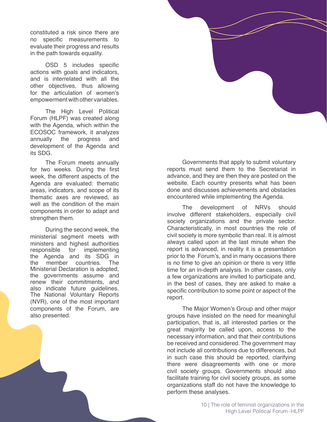constituted a risk since there are no specific measurements to evaluate their progress and results in the path towards equality.

OSD 5 includes specific actions with goals and indicators, and is interrelated with all the other objectives, thus allowing for the articulation of women's empowerment with other variables.

The High Level Political Forum (HLPF) was created along with the Agenda, which within the ECOSOC framework, it analyzes annually the progress and development of the Agenda and its SDG.

The Forum meets annually for two weeks. During the first week, the different aspects of the Agenda are evaluated: thematic areas, indicators, and scope of its thematic axes are reviewed, as well as the condition of the main components in order to adapt and strengthen them.

During the second week, the ministerial segment meets with ministers and highest authorities responsible for implementing the Agenda and its SDG in<br>the member countries. The the member countries. Ministerial Declaration is adopted, the governments assume and renew their commitments, and also indicate future guidelines. The National Voluntary Reports (NVR), one of the most important components of the Forum, are also presented.

Governments that apply to submit voluntary reports must send them to the Secretariat in advance, and they are then they are posted on the website. Each country presents what has been done and discusses achievements and obstacles encountered while implementing the Agenda.

The development of NRVs should involve different stakeholders, especially civil society organizations and the private sector. Characteristically, in most countries the role of civil society is more symbolic than real. It is almost always called upon at the last minute when the report is advanced, in reality it is a presentation prior to the Forum's, and in many occasions there is no time to give an opinion or there is very little time for an in-depth analysis. In other cases, only a few organizations are invited to participate and, in the best of cases, they are asked to make a specific contribution to some point or aspect of the report.

The Major Women's Group and other major groups have insisted on the need for meaningful participation, that is, all interested parties or the great majority be called upon, access to the necessary information, and that their contributions be received and considered. The government may not include all contributions due to differences, but in such case this should be reported, clarifying there were disagreements with one or more civil society groups. Governments should also facilitate training for civil society groups, as some organizations staff do not have the knowledge to perform these analyses.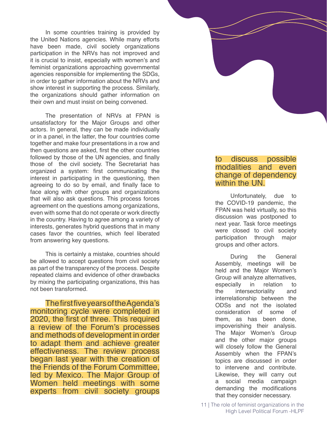In some countries training is provided by the United Nations agencies. While many efforts have been made, civil society organizations participation in the NRVs has not improved and it is crucial to insist, especially with women's and feminist organizations approaching governmental agencies responsible for implementing the SDGs, in order to gather information about the NRVs and show interest in supporting the process. Similarly, the organizations should gather information on their own and must insist on being convened.

The presentation of NRVs at FPAN is unsatisfactory for the Major Groups and other actors. In general, they can be made individually or in a panel, in the latter, the four countries come together and make four presentations in a row and then questions are asked, first the other countries followed by those of the UN agencies, and finally those of the civil society. The Secretariat has organized a system: first communicating the interest in participating in the questioning, then agreeing to do so by email, and finally face to face along with other groups and organizations that will also ask questions. This process forces agreement on the questions among organizations, even with some that do not operate or work directly in the country. Having to agree among a variety of interests, generates hybrid questions that in many cases favor the countries, which feel liberated from answering key questions.

This is certainly a mistake, countries should be allowed to accept questions from civil society as part of the transparency of the process. Despite repeated claims and evidence of other drawbacks by mixing the participating organizations, this has not been transformed.

The first five years of the Agenda's monitoring cycle were completed in 2020, the first of three. This required a review of the Forum's processes and methods of development in order to adapt them and achieve greater effectiveness. The review process began last year with the creation of the Friends of the Forum Committee, led by Mexico. The Major Group of Women held meetings with some experts from civil society groups

#### to discuss possible modalities and even change of dependency within the UN.

Unfortunately, due to the COVID-19 pandemic, the FPAN was held virtually, so this discussion was postponed to next year. Task force meetings were closed to civil society participation through major groups and other actors.

During the General Assembly, meetings will be held and the Major Women's Group will analyze alternatives, especially in relation to the intersectoriality and interrelationship between the ODSs and not the isolated consideration of some of them, as has been done, impoverishing their analysis. The Major Women's Group and the other major groups will closely follow the General Assembly when the FPAN's topics are discussed in order to intervene and contribute. Likewise, they will carry out a social media campaign demanding the modifications that they consider necessary.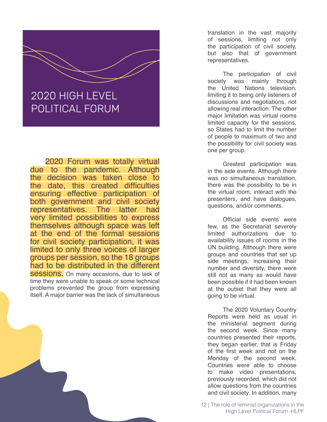

### 2020 HIGH LEVEL POLITICAL FORUM

2020 Forum was totally virtual due to the pandemic. Although the decision was taken close to the date, this created difficulties ensuring effective participation of both government and civil society representatives. The latter had very limited possibilities to express themselves although space was left at the end of the formal sessions for civil society participation, it was limited to only three voices of larger groups per session, so the 18 groups had to be distributed in the different **Sessions.** On many occasions, due to lack of time they were unable to speak or some technical problems prevented the group from expressing itself. A major barrier was the lack of simultaneous

translation in the vast majority of sessions, limiting not only the participation of civil society, but also that of government representatives.

The participation of civil<br>tv was mainly through society was mainly through the United Nations television, limiting it to being only listeners of discussions and negotiations, not allowing real interaction. The other major limitation was virtual rooms limited capacity for the sessions, so States had to limit the number of people to maximum of two and the possibility for civil society was one per group.

Greatest participation was in the side events. Although there was no simultaneous translation, there was the possibility to be in the virtual room, interact with the presenters, and have dialogues, questions, and/or comments.

Official side events were few, as the Secretariat severely limited authorizations due to availability issues of rooms in the UN building. Although there were groups and countries that set up side meetings, increasing their number and diversity, there were still not as many as would have been possible if it had been known at the outset that they were all going to be virtual.

The 2020 Voluntary Country Reports were held as usual in the ministerial segment during the second week. Since many countries presented their reports, they began earlier, that is Friday of the first week and not on the Monday of the second week. Countries were able to choose to make video presentations, previously recorded, which did not allow questions from the countries and civil society. In addition, many

12 | The role of feminist organizations in the High Level Political Forum -HLPF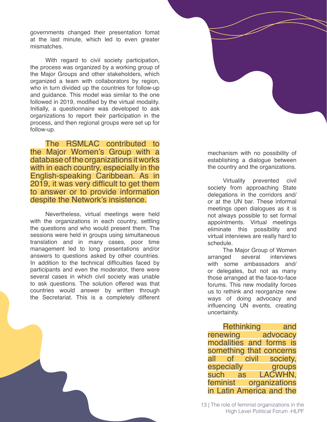governments changed their presentation fomat at the last minute, which led to even greater mismatches.

With regard to civil society participation, the process was organized by a working group of the Major Groups and other stakeholders, which organized a team with collaborators by region, who in turn divided up the countries for follow-up and guidance. This model was similar to the one followed in 2019, modified by the virtual modality. Initially, a questionnaire was developed to ask organizations to report their participation in the process, and then regional groups were set up for follow-up.

The RSMLAC contributed to the Major Women's Group with a database of the organizations it works with in each country, especially in the English-speaking Caribbean. As in 2019, it was very difficult to get them to answer or to provide information despite the Network's insistence.

Nevertheless, virtual meetings were held with the organizations in each country, settling the questions and who would present them. The sessions were held in groups using simultaneous translation and in many cases, poor time management led to long presentations and/or answers to questions asked by other countries. In addition to the technical difficulties faced by participants and even the moderator, there were several cases in which civil society was unable to ask questions. The solution offered was that countries would answer by written through the Secretariat. This is a completely different

mechanism with no possibility of establishing a dialogue between the country and the organizations.

Virtuality prevented civil society from approaching State delegations in the corridors and/ or at the UN bar. These informal meetings open dialogues as it is not always possible to set formal appointments. Virtual meetings eliminate this possibility and virtual interviews are really hard to schedule.

The Major Group of Women arranged several interviews with some ambassadors and/ or delegates, but not as many those arranged at the face-to-face forums. This new modality forces us to rethink and reorganize new ways of doing advocacy and influencing UN events, creating uncertainity.

Rethinking and<br>wing advocacv renewing modalities and forms is something that concerns<br>all of civil societv. all of civil society, especially groups<br>such as LACWHN. LACWHN, feminist organizations in Latin America and the

13 | The role of feminist organizations in the High Level Political Forum -HLPF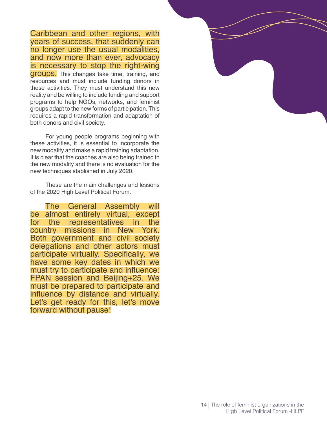Caribbean and other regions, with years of success, that suddenly can no longer use the usual modalities, and now more than ever, advocacy is necessary to stop the right-wing groups. This changes take time, training, and resources and must include funding donors in these activities. They must understand this new reality and be willing to include funding and support programs to help NGOs, networks, and feminist groups adapt to the new forms of participation. This requires a rapid transformation and adaptation of both donors and civil society.

For young people programs beginning with these activities, it is essential to incorporate the new modality and make a rapid training adaptation. It is clear that the coaches are also being trained in the new modality and there is no evaluation for the new techniques stablished in July 2020.

These are the main challenges and lessons of the 2020 High Level Political Forum.

The General Assembly will be almost entirely virtual, except for the representatives in the country missions in New York. Both government and civil society delegations and other actors must participate virtually. Specifically, we have some key dates in which we must try to participate and influence: FPAN session and Beijing+25. We must be prepared to participate and influence by distance and virtually. Let's get ready for this, let's move forward without pause!

14 | The role of feminist organizations in the

High Level Political Forum -HLPF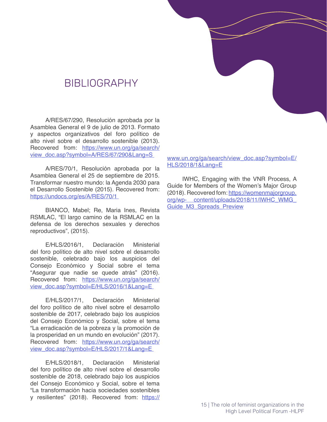#### BIBLIOGRAPHY

A/RES/67/290, Resolución aprobada por la Asamblea General el 9 de julio de 2013. Formato y aspectos organizativos del foro político de alto nivel sobre el desarrollo sostenible (2013). Recovered from: [https://www.un.org/ga/search/](https://www.un.org/ga/search/view_doc.asp?symbol=A/RES/67/290&Lang=S) view\_doc.asp?symbol=A/RES/67/290&Lang=S

A/RES/70/1, Resolución aprobada por la Asamblea General el 25 de septiembre de 2015. Transformar nuestro mundo: la Agenda 2030 para el Desarrollo Sostenible (2015). Recovered from: <https://undocs.org/es/A/RES/70/1>

BIANCO, Mabel; Re, Maria Ines, Revista RSMLAC, "El largo camino de la RSMLAC en la defensa de los derechos sexuales y derechos reproductivos", (2015).

E/HLS/2016/1, Declaración Ministerial del foro político de alto nivel sobre el desarrollo sostenible, celebrado bajo los auspicios del Consejo Económico y Social sobre el tema "Asegurar que nadie se quede atrás" (2016). Recovered from: [https://www.un.org/ga/search/](https://www.un.org/ga/search/view_doc.asp?symbol=E/HLS/2016/1&Lang=E) view\_doc.asp?symbol=E/HLS/2016/1&Lang=E

E/HLS/2017/1, Declaración Ministerial del foro político de alto nivel sobre el desarrollo sostenible de 2017, celebrado bajo los auspicios del Consejo Económico y Social, sobre el tema "La erradicación de la pobreza y la promoción de la prosperidad en un mundo en evolución" (2017). Recovered from: [https://www.un.org/ga/search/](https://www.un.org/ga/search/view_doc.asp?symbol=E/HLS/2017/1&Lang=E) [view\\_doc.asp?symbol=E/HLS/2017/1&Lang=E](https://www.un.org/ga/search/view_doc.asp?symbol=E/HLS/2017/1&Lang=E) 

E/HLS/2018/1, Declaración Ministerial del foro político de alto nivel sobre el desarrollo sostenible de 2018, celebrado bajo los auspicios del Consejo Económico y Social, sobre el tema "La transformación hacia sociedades sostenibles y resilientes" (2018). Recovered from: [https://](https://www.un.org/ga/search/view_doc.asp?symbol=E/HLS/2018/1&Lang=E)

[www.un.org/ga/search/view\\_doc.asp?symbol=E/](https://www.un.org/ga/search/view_doc.asp?symbol=E/HLS/2018/1&Lang=E) [HLS/2018/1&Lang=E](https://www.un.org/ga/search/view_doc.asp?symbol=E/HLS/2018/1&Lang=E)

IWHC, Engaging with the VNR Process, A Guide for Members of the Women's Major Group (2018). Recovered fom: [https://womenmajorgroup.](https://womenmajorgroup.org/wp- content/uploads/2018/11/IWHC_WMG_Guide_M3_Spreads_Preview) [org/wp- content/uploads/2018/11/IWHC\\_WMG\\_](https://womenmajorgroup.org/wp- content/uploads/2018/11/IWHC_WMG_Guide_M3_Spreads_Preview) Guide M3 Spreads Preview